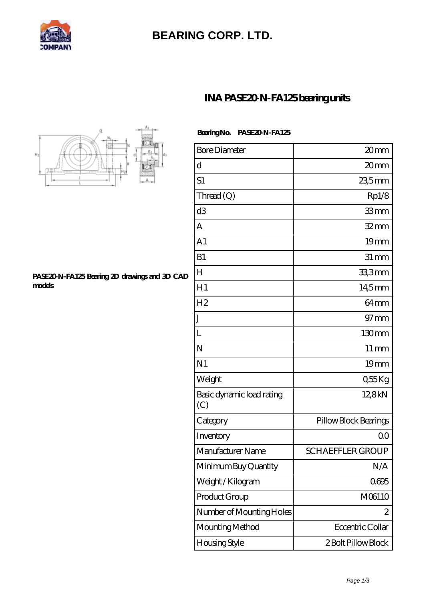

# **[BEARING CORP. LTD.](https://mamzellealacote.com)**

### **[INA PASE20-N-FA125 bearing units](https://mamzellealacote.com/bd-396185-ina-pase20-n-fa125-bearing-units.html)**



#### **[PASE20-N-FA125 Bearing 2D drawings and 3D CAD](https://mamzellealacote.com/pic-396185.html) [models](https://mamzellealacote.com/pic-396185.html)**

| Bearing No. PASE20 N-FA125 |
|----------------------------|
|                            |

| <b>Bore Diameter</b>             | 20mm                    |
|----------------------------------|-------------------------|
| d                                | 20mm                    |
| S <sub>1</sub>                   | 235mm                   |
| Thread (Q)                       | Rp1/8                   |
| d <sub>3</sub>                   | 33mm                    |
| А                                | $32$ mm                 |
| A <sub>1</sub>                   | 19mm                    |
| B1                               | $31 \, \text{mm}$       |
| $H_{\rm}$                        | 33,3mm                  |
| H1                               | 14,5mm                  |
| H <sub>2</sub>                   | 64mm                    |
| J                                | $97$ mm                 |
| L                                | 130mm                   |
| N                                | $11 \,\mathrm{mm}$      |
| N <sub>1</sub>                   | 19mm                    |
| Weight                           | $055$ Kg                |
| Basic dynamic load rating<br>(C) | 12,8kN                  |
| Category                         | Pillow Block Bearings   |
| Inventory                        | 0 <sup>0</sup>          |
| Manufacturer Name                | <b>SCHAEFFLER GROUP</b> |
| Minimum Buy Quantity             | N/A                     |
| Weight / Kilogram                | 0695                    |
| Product Group                    | M06110                  |
| Number of Mounting Holes         | 2                       |
| Mounting Method                  | Eccentric Collar        |
| Housing Style                    | 2 Bolt Pillow Block     |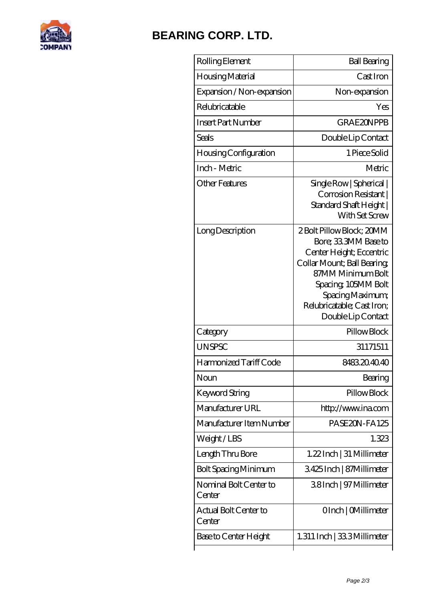

### **[BEARING CORP. LTD.](https://mamzellealacote.com)**

| Rolling Element                  | <b>Ball Bearing</b>                                                                                                                                                                                                             |
|----------------------------------|---------------------------------------------------------------------------------------------------------------------------------------------------------------------------------------------------------------------------------|
| Housing Material                 | Cast Iron                                                                                                                                                                                                                       |
| Expansion / Non-expansion        | Non-expansion                                                                                                                                                                                                                   |
| Relubricatable                   | Yes                                                                                                                                                                                                                             |
| <b>Insert Part Number</b>        | <b>GRAE2ONPPB</b>                                                                                                                                                                                                               |
| Seals                            | Double Lip Contact                                                                                                                                                                                                              |
| <b>Housing Configuration</b>     | 1 Piece Solid                                                                                                                                                                                                                   |
| Inch - Metric                    | Metric                                                                                                                                                                                                                          |
| <b>Other Features</b>            | Single Row   Spherical  <br>Corrosion Resistant  <br>Standard Shaft Height  <br>With Set Screw                                                                                                                                  |
| Long Description                 | 2 Bolt Pillow Block; 20MM<br>Bore; 33 3MM Base to<br>Center Height; Eccentric<br>Collar Mount; Ball Bearing<br>87MM Minimum Bolt<br>Spacing, 105MM Bolt<br>Spacing Maximum;<br>Relubricatable; Cast Iron;<br>Double Lip Contact |
| Category                         | Pillow Block                                                                                                                                                                                                                    |
| <b>UNSPSC</b>                    | 31171511                                                                                                                                                                                                                        |
| Harmonized Tariff Code           | 8483204040                                                                                                                                                                                                                      |
| Noun                             | Bearing                                                                                                                                                                                                                         |
| <b>Keyword String</b>            | Pillow Block                                                                                                                                                                                                                    |
| Manufacturer URL                 | http://www.ina.com                                                                                                                                                                                                              |
| Manufacturer Item Number         | PASE20N-FA125                                                                                                                                                                                                                   |
| Weight/LBS                       | 1.323                                                                                                                                                                                                                           |
| Length Thru Bore                 | 1.22 Inch   31 Millimeter                                                                                                                                                                                                       |
| <b>Bolt Spacing Minimum</b>      | 3425Inch   87Millimeter                                                                                                                                                                                                         |
| Nominal Bolt Center to<br>Center | 38Inch   97 Millimeter                                                                                                                                                                                                          |
| Actual Bolt Center to<br>Center  | OInch   CMillimeter                                                                                                                                                                                                             |
| Base to Center Height            | 1.311 Inch   333 Millimeter                                                                                                                                                                                                     |
|                                  |                                                                                                                                                                                                                                 |